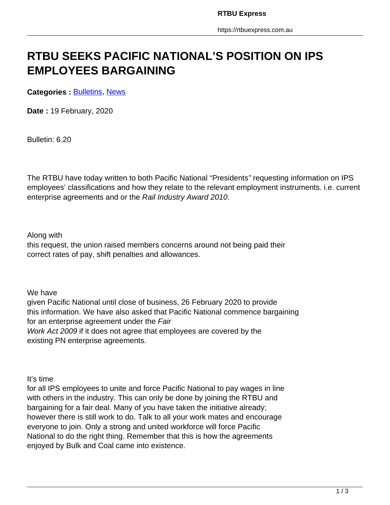# **RTBU SEEKS PACIFIC NATIONAL'S POSITION ON IPS EMPLOYEES BARGAINING**

**Categories : [Bulletins,](https://rtbuexpress.com.au/category/news/bulletins/) News** 

**Date :** 19 February, 2020

Bulletin: 6.20

The RTBU have today written to both Pacific National "Presidents" requesting information on IPS employees' classifications and how they relate to the relevant employment instruments. i.e. current enterprise agreements and or the Rail Industry Award 2010.

#### Along with

this request, the union raised members concerns around not being paid their correct rates of pay, shift penalties and allowances.

We have

given Pacific National until close of business, 26 February 2020 to provide this information. We have also asked that Pacific National commence bargaining for an enterprise agreement under the Fair Work Act 2009 if it does not agree that employees are covered by the existing PN enterprise agreements.

It's time

for all IPS employees to unite and force Pacific National to pay wages in line with others in the industry. This can only be done by joining the RTBU and bargaining for a fair deal. Many of you have taken the initiative already; however there is still work to do. Talk to all your work mates and encourage everyone to join. Only a strong and united workforce will force Pacific National to do the right thing. Remember that this is how the agreements enjoyed by Bulk and Coal came into existence.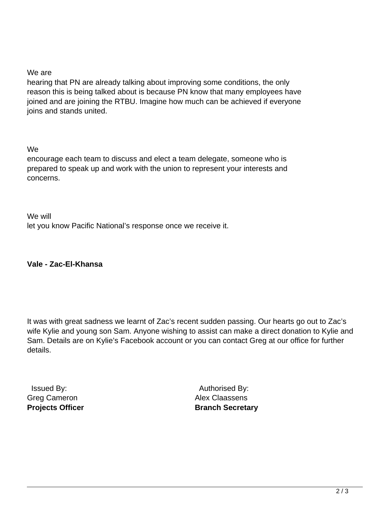### We are

hearing that PN are already talking about improving some conditions, the only reason this is being talked about is because PN know that many employees have joined and are joining the RTBU. Imagine how much can be achieved if everyone joins and stands united.

#### We

encourage each team to discuss and elect a team delegate, someone who is prepared to speak up and work with the union to represent your interests and concerns.

We will let you know Pacific National's response once we receive it.

## **Vale - Zac-El-Khansa**

It was with great sadness we learnt of Zac's recent sudden passing. Our hearts go out to Zac's wife Kylie and young son Sam. Anyone wishing to assist can make a direct donation to Kylie and Sam. Details are on Kylie's Facebook account or you can contact Greg at our office for further details.

 Issued By: Greg Cameron **Projects Officer**

 Authorised By: Alex Claassens **Branch Secretary**